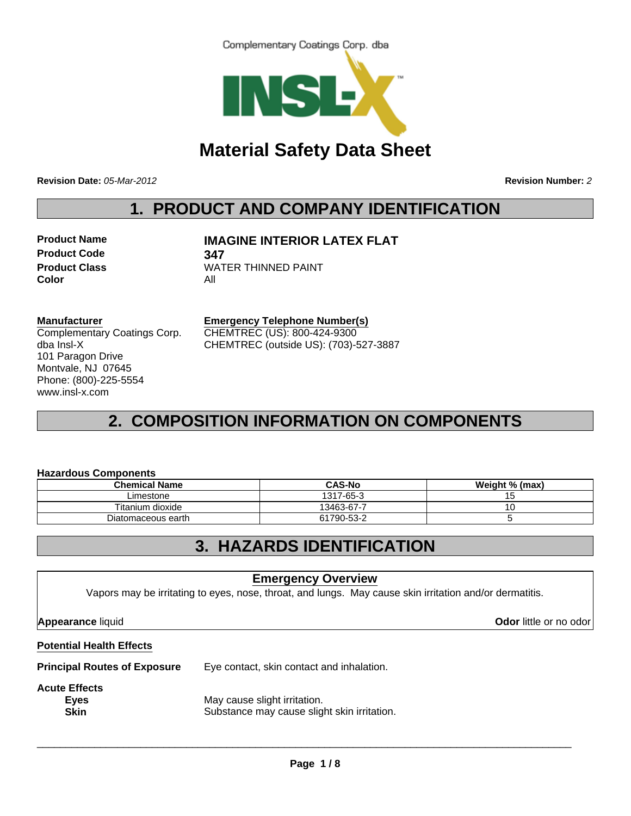



# **Material Safety Data Sheet**

**Revision Date:** *05-Mar-2012* **Revision Number:** *2*

# **1. PRODUCT AND COMPANY IDENTIFICATION**

**Product Code 347 Color** All

**Product Name MAGINE INTERIOR LATEX FLAT** 

**Product Class WATER THINNED PAINT** 

#### **Manufacturer**

Complementary Coatings Corp. dba Insl-X 101 Paragon Drive Montvale, NJ 07645 Phone: (800)-225-5554 www.insl-x.com

**Emergency Telephone Number(s)** CHEMTREC (US): 800-424-9300 CHEMTREC (outside US): (703)-527-3887

# **2. COMPOSITION INFORMATION ON COMPONENTS**

#### **Hazardous Components**

| <b>Chemical Name</b> | <b>CAS-No</b> | Weight % (max) |
|----------------------|---------------|----------------|
| Limestone            | 1317-65-3     |                |
| Titanium dioxide     | 13463-67-7    |                |
| Diatomaceous earth   | 61790-53-2    |                |

### **3. HAZARDS IDENTIFICATION**

### **Emergency Overview**

Vapors may be irritating to eyes, nose, throat, and lungs. May cause skin irritation and/or dermatitis.

**Appearance** liquid **Odor** little or no odor

#### **Potential Health Effects**

**Principal Routes of Exposure** Eye contact, skin contact and inhalation.

**Acute Effects**

**Eyes** May cause slight irritation. **Skin** Substance may cause slight skin irritation.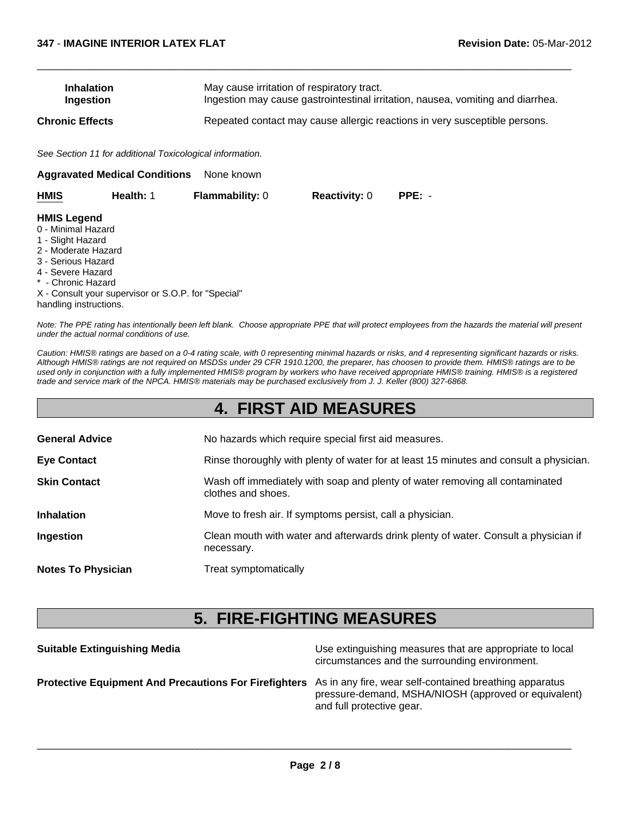| <b>Inhalation</b> | May cause irritation of respiratory tract.                                      |
|-------------------|---------------------------------------------------------------------------------|
| Ingestion         | Ingestion may cause gastrointestinal irritation, nausea, vomiting and diarrhea. |
| Chronic Effects   | Repeated contact may cause allergic reactions in very susceptible persons.      |

 $\Box$ 

*See Section 11 for additional Toxicological information.*

| None known<br><b>Aggravated Medical Conditions</b>                                                                                                                              |                                                     |                        |                      |          |  |  |
|---------------------------------------------------------------------------------------------------------------------------------------------------------------------------------|-----------------------------------------------------|------------------------|----------------------|----------|--|--|
| <b>HMIS</b>                                                                                                                                                                     | Health: 1                                           | <b>Flammability: 0</b> | <b>Reactivity: 0</b> | $PPE: -$ |  |  |
| <b>HMIS Legend</b><br>0 - Minimal Hazard<br>1 - Slight Hazard<br>2 - Moderate Hazard<br>3 - Serious Hazard<br>4 - Severe Hazard<br>* - Chronic Hazard<br>handling instructions. | X - Consult your supervisor or S.O.P. for "Special" |                        |                      |          |  |  |

*Note: The PPE rating has intentionally been left blank. Choose appropriate PPE that will protect employees from the hazards the material will present under the actual normal conditions of use.*

*Caution: HMIS® ratings are based on a 0-4 rating scale, with 0 representing minimal hazards or risks, and 4 representing significant hazards or risks. Although HMIS® ratings are not required on MSDSs under 29 CFR 1910.1200, the preparer, has choosen to provide them. HMIS® ratings are to be used only in conjunction with a fully implemented HMIS® program by workers who have received appropriate HMIS® training. HMIS® is a registered trade and service mark of the NPCA. HMIS® materials may be purchased exclusively from J. J. Keller (800) 327-6868.*

## **4. FIRST AID MEASURES**

| <b>General Advice</b>     | No hazards which require special first aid measures.                                               |
|---------------------------|----------------------------------------------------------------------------------------------------|
| <b>Eye Contact</b>        | Rinse thoroughly with plenty of water for at least 15 minutes and consult a physician.             |
| <b>Skin Contact</b>       | Wash off immediately with soap and plenty of water removing all contaminated<br>clothes and shoes. |
| <b>Inhalation</b>         | Move to fresh air. If symptoms persist, call a physician.                                          |
| Ingestion                 | Clean mouth with water and afterwards drink plenty of water. Consult a physician if<br>necessary.  |
| <b>Notes To Physician</b> | Treat symptomatically                                                                              |

## **5. FIRE-FIGHTING MEASURES**

**Suitable Extinguishing Media** Media Use extinguishing measures that are appropriate to local circumstances and the surrounding environment. **Protective Equipment And Precautions For Firefighters** As in any fire, wear self-contained breathing apparatus pressure-demand, MSHA/NIOSH (approved or equivalent) and full protective gear.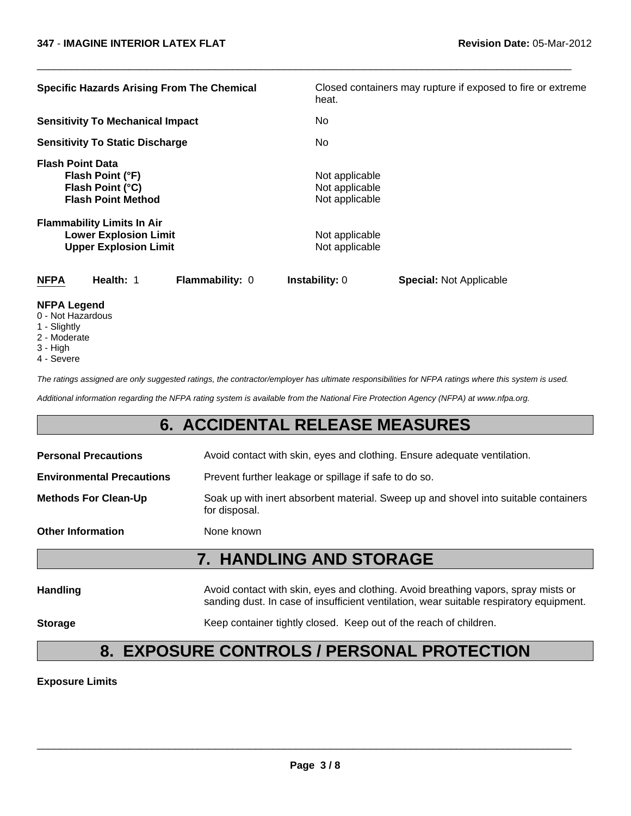| <b>Specific Hazards Arising From The Chemical</b>                                                                                                                                                 | Closed containers may rupture if exposed to fire or extreme<br>heat.                   |
|---------------------------------------------------------------------------------------------------------------------------------------------------------------------------------------------------|----------------------------------------------------------------------------------------|
| <b>Sensitivity To Mechanical Impact</b>                                                                                                                                                           | No.                                                                                    |
| <b>Sensitivity To Static Discharge</b>                                                                                                                                                            | No.                                                                                    |
| <b>Flash Point Data</b><br>Flash Point (°F)<br>Flash Point (°C)<br><b>Flash Point Method</b><br><b>Flammability Limits In Air</b><br><b>Lower Explosion Limit</b><br><b>Upper Explosion Limit</b> | Not applicable<br>Not applicable<br>Not applicable<br>Not applicable<br>Not applicable |
| <b>NFPA</b><br>Health: 1<br>Flammability: 0                                                                                                                                                       | <b>Instability: 0</b><br><b>Special: Not Applicable</b>                                |
| <b>NFPA Legend</b>                                                                                                                                                                                |                                                                                        |

 $\Box$ 

- 0 Not Hazardous
- 1 Slightly
- 2 Moderate
- 3 High
- 4 Severe

*The ratings assigned are only suggested ratings, the contractor/employer has ultimate responsibilities for NFPA ratings where this system is used.*

*Additional information regarding the NFPA rating system is available from the National Fire Protection Agency (NFPA) at www.nfpa.org.*

### **6. ACCIDENTAL RELEASE MEASURES**

| <b>Personal Precautions</b>      | Avoid contact with skin, eyes and clothing. Ensure adequate ventilation.                                                                                                      |  |  |
|----------------------------------|-------------------------------------------------------------------------------------------------------------------------------------------------------------------------------|--|--|
| <b>Environmental Precautions</b> | Prevent further leakage or spillage if safe to do so.                                                                                                                         |  |  |
| <b>Methods For Clean-Up</b>      | Soak up with inert absorbent material. Sweep up and shovel into suitable containers<br>for disposal.                                                                          |  |  |
| <b>Other Information</b>         | None known                                                                                                                                                                    |  |  |
|                                  | <b>7. HANDLING AND STORAGE</b>                                                                                                                                                |  |  |
| <b>Handling</b>                  | Avoid contact with skin, eyes and clothing. Avoid breathing vapors, spray mists or<br>sanding dust. In case of insufficient ventilation, wear suitable respiratory equipment. |  |  |

**Storage** Keep container tightly closed. Keep out of the reach of children.

# **8. EXPOSURE CONTROLS / PERSONAL PROTECTION**

**Exposure Limits**

\_\_\_\_\_\_\_\_\_\_\_\_\_\_\_\_\_\_\_\_\_\_\_\_\_\_\_\_\_\_\_\_\_\_\_\_\_\_\_\_\_\_\_\_\_\_\_\_\_\_\_\_\_\_\_\_\_\_\_\_\_\_\_\_\_\_\_\_\_\_\_\_\_\_\_\_\_\_\_\_\_\_\_\_\_\_\_\_\_\_\_\_\_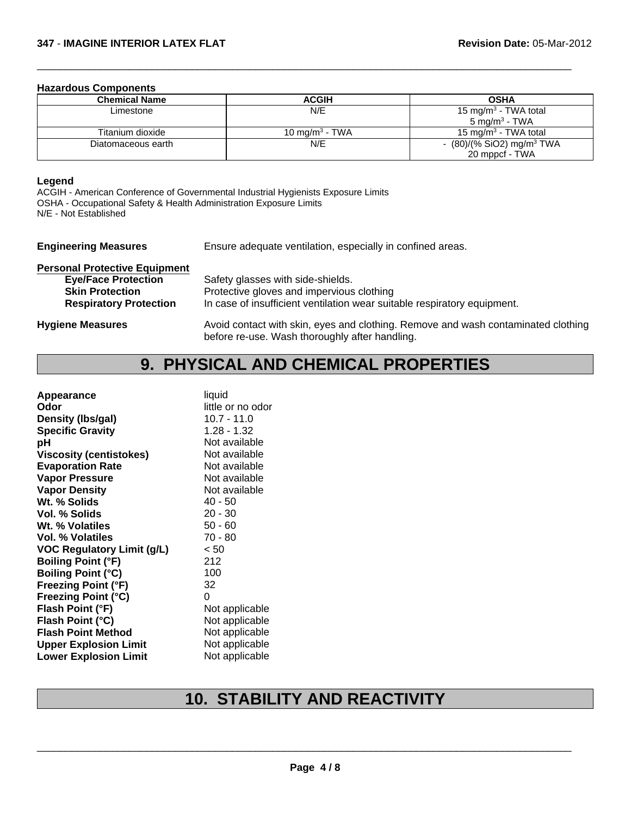#### **Hazardous Components**

| <b>Chemical Name</b> | <b>ACGIH</b>               | <b>OSHA</b>                             |
|----------------------|----------------------------|-----------------------------------------|
| Limestone            | N/E                        | 15 mg/m <sup>3</sup> - TWA total        |
|                      |                            | $5 \text{ mg/m}^3$ - TWA                |
| Titanium dioxide     | 10 mg/m <sup>3</sup> - TWA | 15 mg/m <sup>3</sup> - TWA total        |
| Diatomaceous earth   | N/E                        | - $(80)/(%$ SiO2) mg/m <sup>3</sup> TWA |
|                      |                            | 20 mppcf - TWA                          |

 $\Box$ 

#### **Legend**

ACGIH - American Conference of Governmental Industrial Hygienists Exposure Limits OSHA - Occupational Safety & Health Administration Exposure Limits N/E - Not Established

| <b>Engineering Measures</b>          | Ensure adequate ventilation, especially in confined areas.               |
|--------------------------------------|--------------------------------------------------------------------------|
| <b>Personal Protective Equipment</b> |                                                                          |
| <b>Eye/Face Protection</b>           | Safety glasses with side-shields.                                        |
| <b>Skin Protection</b>               | Protective gloves and impervious clothing                                |
| <b>Respiratory Protection</b>        | In case of insufficient ventilation wear suitable respiratory equipment. |

**Hygiene Measures** Avoid contact with skin, eyes and clothing. Remove and wash contaminated clothing before re-use. Wash thoroughly after handling.

## **9. PHYSICAL AND CHEMICAL PROPERTIES**

| Appearance                        | liquid            |
|-----------------------------------|-------------------|
| Odor                              | little or no odor |
| Density (Ibs/gal)                 | $10.7 - 11.0$     |
| <b>Specific Gravity</b>           | $1.28 - 1.32$     |
| рH                                | Not available     |
| <b>Viscosity (centistokes)</b>    | Not available     |
| <b>Evaporation Rate</b>           | Not available     |
| <b>Vapor Pressure</b>             | Not available     |
| <b>Vapor Density</b>              | Not available     |
| Wt. % Solids                      | 40 - 50           |
| Vol. % Solids                     | $20 - 30$         |
| Wt. % Volatiles                   | $50 - 60$         |
| Vol. % Volatiles                  | $70 - 80$         |
| <b>VOC Regulatory Limit (g/L)</b> | < 50              |
| <b>Boiling Point (°F)</b>         | 212               |
| <b>Boiling Point (°C)</b>         | 100               |
| <b>Freezing Point (°F)</b>        | 32                |
| <b>Freezing Point (°C)</b>        | 0                 |
| Flash Point (°F)                  | Not applicable    |
| Flash Point (°C)                  | Not applicable    |
| <b>Flash Point Method</b>         | Not applicable    |
| <b>Upper Explosion Limit</b>      | Not applicable    |
| <b>Lower Explosion Limit</b>      | Not applicable    |
|                                   |                   |

# **10. STABILITY AND REACTIVITY**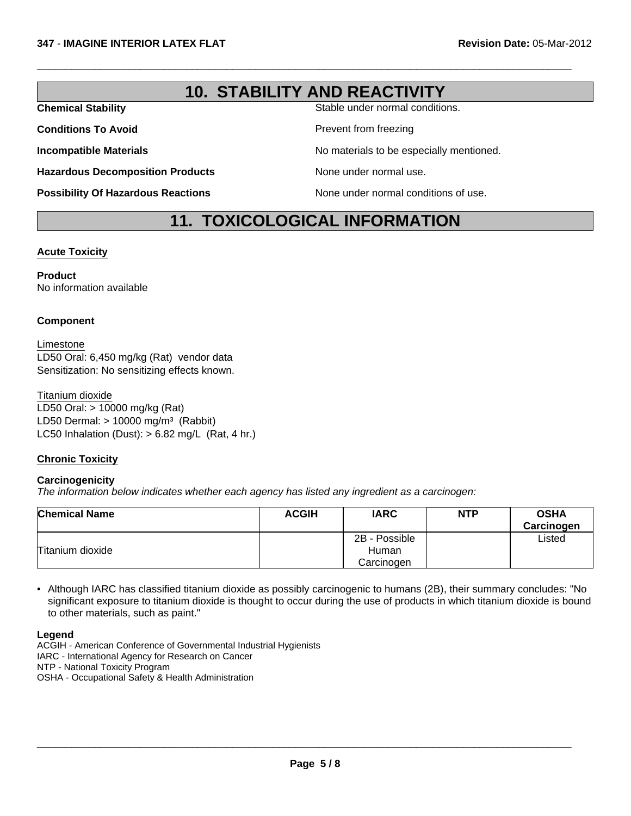## **10. STABILITY AND REACTIVITY**

 $\Box$ 

**Chemical Stability** Stable under normal conditions.

**Conditions To Avoid Prevent from freezing** 

**Incompatible Materials No materials** No materials to be especially mentioned.

**Hazardous Decomposition Products** None under normal use.

**Possibility Of Hazardous Reactions** None under normal conditions of use.

## **11. TOXICOLOGICAL INFORMATION**

#### **Acute Toxicity**

**Product** No information available

#### **Component**

Limestone LD50 Oral: 6,450 mg/kg (Rat) vendor data Sensitization: No sensitizing effects known.

Titanium dioxide LD50 Oral: > 10000 mg/kg (Rat) LD50 Dermal:  $> 10000$  mg/m<sup>3</sup> (Rabbit) LC50 Inhalation (Dust):  $> 6.82$  mg/L (Rat, 4 hr.)

#### **Chronic Toxicity**

#### **Carcinogenicity**

*The information below indicates whether each agency has listed any ingredient as a carcinogen:*

| <b>Chemical Name</b> | <b>ACGIH</b> | <b>IARC</b>   | <b>NTP</b> | <b>OSHA</b><br>Carcinogen |
|----------------------|--------------|---------------|------------|---------------------------|
|                      |              | 2B - Possible |            | ∟isted                    |
| Titanium dioxide     |              | Human         |            |                           |
|                      |              | Carcinogen    |            |                           |

• Although IARC has classified titanium dioxide as possibly carcinogenic to humans (2B), their summary concludes: "No significant exposure to titanium dioxide is thought to occur during the use of products in which titanium dioxide is bound to other materials, such as paint."

**Legend**

ACGIH - American Conference of Governmental Industrial Hygienists IARC - International Agency for Research on Cancer NTP - National Toxicity Program OSHA - Occupational Safety & Health Administration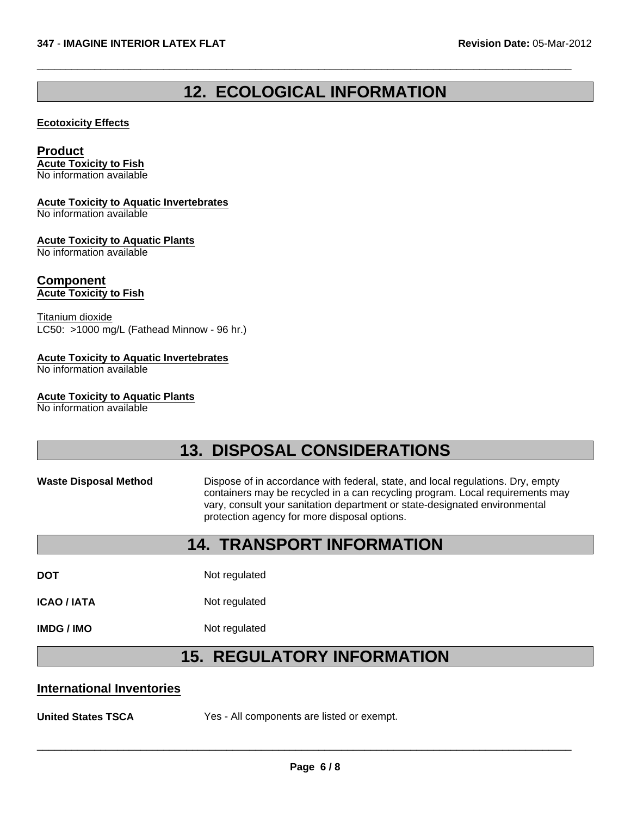# **12. ECOLOGICAL INFORMATION**

 $\Box$ 

#### **Ecotoxicity Effects**

### **Product**

**Acute Toxicity to Fish** No information available

#### **Acute Toxicity to Aquatic Invertebrates**

No information available

#### **Acute Toxicity to Aquatic Plants**

No information available

#### **Component Acute Toxicity to Fish**

Titanium dioxide LC50: >1000 mg/L (Fathead Minnow - 96 hr.)

#### **Acute Toxicity to Aquatic Invertebrates**

No information available

#### **Acute Toxicity to Aquatic Plants**

No information available

## **13. DISPOSAL CONSIDERATIONS**

#### **Waste Disposal Method** Dispose of in accordance with federal, state, and local regulations. Dry, empty containers may be recycled in a can recycling program. Local requirements may vary, consult your sanitation department or state-designated environmental protection agency for more disposal options.

## **14. TRANSPORT INFORMATION**

**DOT** Not regulated

**ICAO / IATA** Not regulated

**IMDG / IMO** Not regulated

## **15. REGULATORY INFORMATION**

#### **International Inventories**

**United States TSCA** Yes - All components are listed or exempt.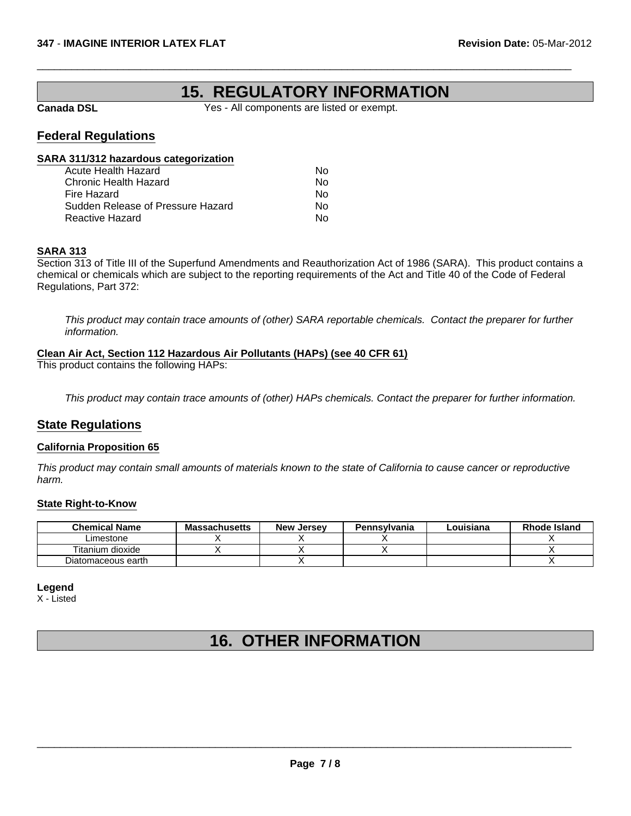### **15. REGULATORY INFORMATION**

**Canada DSL** Yes - All components are listed or exempt.

 $\Box$ 

### **Federal Regulations**

#### **SARA 311/312 hazardous categorization**

| Acute Health Hazard               | N٥ |
|-----------------------------------|----|
| Chronic Health Hazard             | N٥ |
| Fire Hazard                       | N٥ |
| Sudden Release of Pressure Hazard | N٥ |
| Reactive Hazard                   | N٥ |
|                                   |    |

#### **SARA 313**

Section 313 of Title III of the Superfund Amendments and Reauthorization Act of 1986 (SARA). This product contains a chemical or chemicals which are subject to the reporting requirements of the Act and Title 40 of the Code of Federal Regulations, Part 372:

*This product may contain trace amounts of (other) SARA reportable chemicals. Contact the preparer for further information.*

#### **Clean Air Act, Section 112 Hazardous Air Pollutants (HAPs) (see 40 CFR 61)**

This product contains the following HAPs:

*This product may contain trace amounts of (other) HAPs chemicals. Contact the preparer for further information.*

### **State Regulations**

#### **California Proposition 65**

*This product may contain small amounts of materials known to the state of California to cause cancer or reproductive harm.*

#### **State Right-to-Know**

| <b>Chemical Name</b> | <b>Massachusetts</b> | New Jersev | Pennsvlvania | Louisiana | Rhode Island |
|----------------------|----------------------|------------|--------------|-----------|--------------|
| Limestone            |                      |            |              |           |              |
| Titanium dioxide     |                      |            |              |           |              |
| Diatomaceous earth   |                      |            |              |           |              |

#### **Legend**

X - Listed

# **16. OTHER INFORMATION**